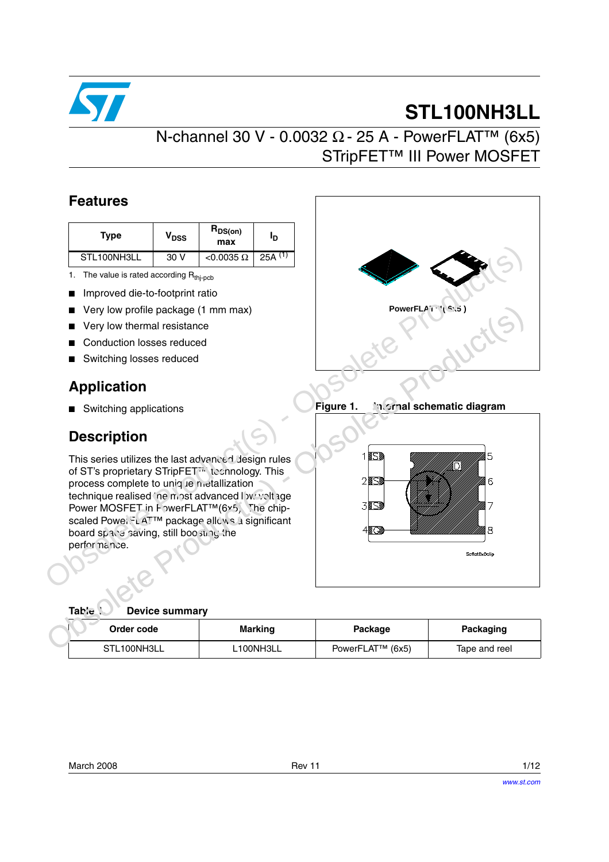

# **STL100NH3LL**

## N-channel 30 V - 0.0032 Ω - 25 A - PowerFLAT<sup>™</sup> (6x5) STripFET™ III Power MOSFET

### **Features**

| Type        | V <sub>DSS</sub> | $R_{DS(on)}$<br>max | םי        |
|-------------|------------------|---------------------|-----------|
| STL100NH3LL | 30 V             | $<$ 0.0035 $\Omega$ | 25A $(1)$ |

- 1. The value is rated according  $R_{\text{thi-pcb}}$
- Improved die-to-footprint ratio
- Very low profile package (1 mm max)
- Very low thermal resistance
- Conduction losses reduced
- Switching losses reduced

### **Application**

■ Switching applications

### **Description**

This series utilizes the last advanced design rules of ST's proprietary STripFET<sup>7</sup> technology. This process complete to unique metallization technique realised the most advanced low voltage Power MOSFET in PowerFLAT™(6x5). The chipscaled PowerFLAT™ package allows a significant board space saving, still boosting the perfor nance.



**Figure 1. Internal schematic diagram**



| Device summary |  |
|----------------|--|
|                |  |

| Order code  | <b>Marking</b> | Package          | Packaging     |
|-------------|----------------|------------------|---------------|
| STL100NH3LL | L100NH3LL      | PowerFLAT™ (6x5) | Tape and reel |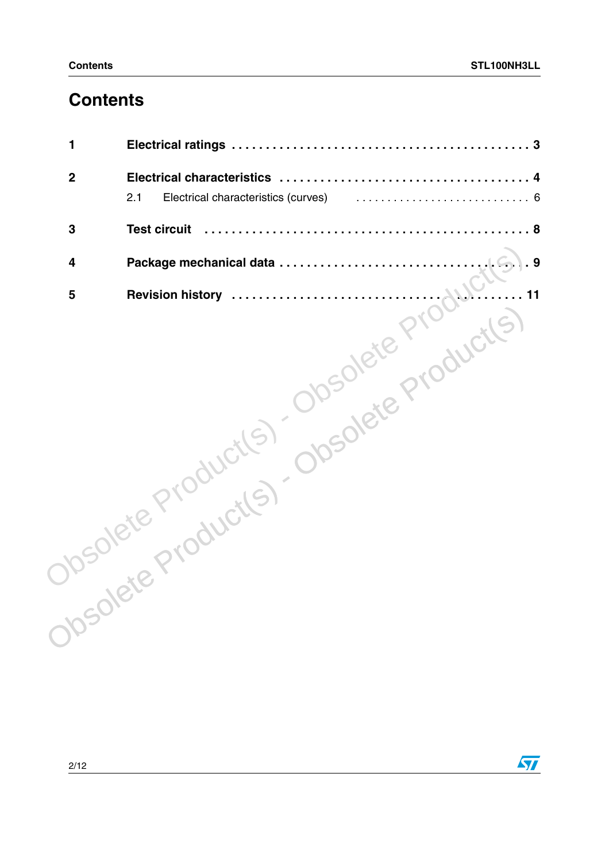## **Contents**

| Medicate Product(5) Obsolete Product(5) |
|-----------------------------------------|

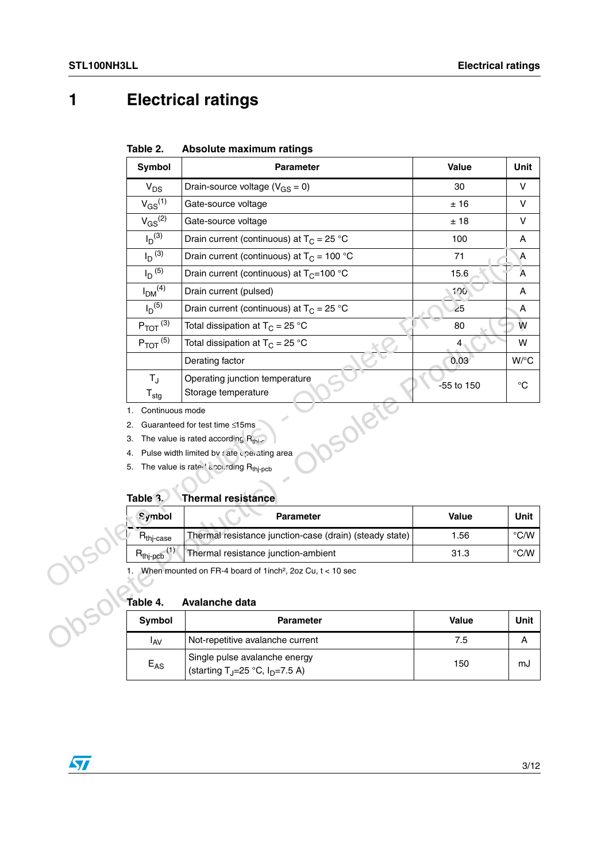## <span id="page-2-0"></span>**1 Electrical ratings**

### <span id="page-2-1"></span>**Table 2. Absolute maximum ratings**

| Symbol                                                    | <b>Parameter</b>                                                                                                                                                                                     | Value      | Unit           |
|-----------------------------------------------------------|------------------------------------------------------------------------------------------------------------------------------------------------------------------------------------------------------|------------|----------------|
| $V_{DS}$                                                  | Drain-source voltage ( $V_{GS} = 0$ )                                                                                                                                                                | 30         | V              |
| $V_{GS}^{(\overline{1})}$                                 | Gate-source voltage                                                                                                                                                                                  | ±16        | V              |
| $V_{GS}^{(2)}$                                            | Gate-source voltage                                                                                                                                                                                  | ±18        | V              |
| $I_D$ <sup>(3)</sup>                                      | Drain current (continuous) at $T_C = 25 °C$                                                                                                                                                          | 100        | А              |
| $I_D$ (3)                                                 | Drain current (continuous) at $T_C = 100 °C$                                                                                                                                                         | 71         | Α              |
| $I_D$ (5)                                                 | Drain current (continuous) at $T_C = 100 °C$                                                                                                                                                         | 15.6       | $\overline{A}$ |
| $I_{DM}$ <sup>(4)</sup>                                   | Drain current (pulsed)                                                                                                                                                                               | 100        | A              |
| $I_D$ <sup>(5)</sup>                                      | Drain current (continuous) at $T_C = 25 °C$                                                                                                                                                          | 25         | A              |
| $P_{TOT}$ (3)                                             | Total dissipation at $T_C = 25 °C$                                                                                                                                                                   | 80         | W              |
| $P_{TOT}$ <sup>(5)</sup>                                  | Total dissipation at $T_C = 25 °C$                                                                                                                                                                   | 4          | W              |
|                                                           | Derating factor                                                                                                                                                                                      | 0.03       | W/°C           |
| $T_{\rm J}$<br>$T_{\text{stg}}$                           | Operating junction temperature<br>Storage temperature                                                                                                                                                | -55 to 150 | $^{\circ}C$    |
| Continuous mode<br>1.<br>2.<br>3.<br>4.<br>5.<br>Table 3. | Guaranteed for test time ≤15ms<br>The value is rated according $R_{\text{th}-c}$<br>Pulse width limited by sate cherating area<br>The value is rated according Rthj-pcb<br><b>Thermal resistance</b> |            |                |
| Symbol                                                    | <b>Parameter</b>                                                                                                                                                                                     | Value      | Unit           |
| $R_{\text{thj-case}}$                                     | Thermal resistance junction-case (drain) (steady state)                                                                                                                                              | 1.56       | $\degree$ C/W  |
| $R_{thj-pcb}$ <sup>(1)</sup>                              | Thermal resistance junction-ambient                                                                                                                                                                  | 31.3       | $\degree$ C/W  |
| Table 4.                                                  | When mounted on FR-4 board of 1inch <sup>2</sup> , 2oz Cu, t < 10 sec<br><b>Avalanche data</b>                                                                                                       |            |                |
| Symbol                                                    | <b>Parameter</b>                                                                                                                                                                                     | Value      | Unit           |
| <b>I</b> <sub>AV</sub>                                    | Not-repetitive avalanche current                                                                                                                                                                     | 7.5        | A              |
|                                                           |                                                                                                                                                                                                      |            |                |

#### **Table 3. Thermal resistance**

|                                                                          | Symbol                | <b>Parameter</b>                                        | <b>Value</b> | <b>Unit</b>   |  |  |
|--------------------------------------------------------------------------|-----------------------|---------------------------------------------------------|--------------|---------------|--|--|
|                                                                          | $R_{\text{thi-case}}$ | Thermal resistance junction-case (drain) (steady state) | 1.56         | $\degree$ C/W |  |  |
|                                                                          | 31.3                  | $\degree$ C/W                                           |              |               |  |  |
| When mounted on FR-4 board of 1 inch <sup>2</sup> , 2oz Cu, $t < 10$ sec |                       |                                                         |              |               |  |  |
|                                                                          | Table 4.              | Avalanche data                                          |              |               |  |  |
|                                                                          | Symbol                | <b>Parameter</b>                                        | <b>Value</b> | <b>Unit</b>   |  |  |
|                                                                          | ، ۱۸۰                 | Not-renetitive avalanche current                        | 75           |               |  |  |

## <span id="page-2-2"></span>**Table 4. Avalanche data**

| Symbol   | <b>Parameter</b>                                                              | <b>Value</b> | Unit |
|----------|-------------------------------------------------------------------------------|--------------|------|
| IAV      | Not-repetitive avalanche current                                              | 7.5          |      |
| $E_{AS}$ | Single pulse avalanche energy<br>(starting T <sub>J</sub> =25 °C, $ID=7.5$ A) | 150          | mJ   |

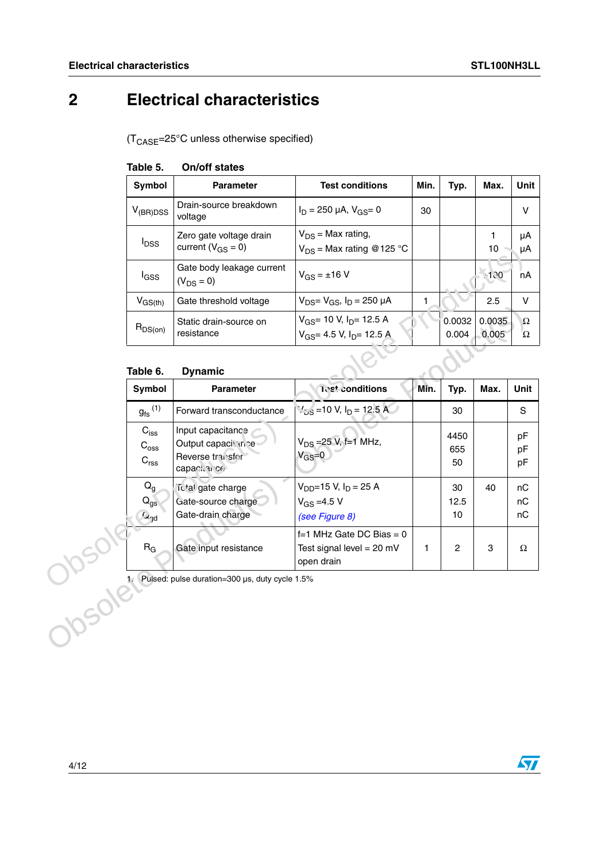## <span id="page-3-0"></span>**2 Electrical characteristics**

 $(T_{\text{CASE}} = 25^{\circ} \text{C}$  unless otherwise specified)

| Symbol                  | <b>Parameter</b>                                    | <b>Test conditions</b>                                                                       | Min. | Typ.            | Max.            | Unit     |
|-------------------------|-----------------------------------------------------|----------------------------------------------------------------------------------------------|------|-----------------|-----------------|----------|
| $V_{(BR)DSS}$           | Drain-source breakdown<br>voltage                   | $I_D = 250 \mu A$ , $V_{GS} = 0$                                                             | 30   |                 |                 | v        |
| <b>I</b> <sub>DSS</sub> | Zero gate voltage drain<br>current ( $V_{GS} = 0$ ) | $V_{DS}$ = Max rating,<br>$V_{DS}$ = Max rating @ 125 °C                                     |      |                 | 10              | μA<br>μA |
| l <sub>GSS</sub>        | Gate body leakage current<br>$(V_{DS} = 0)$         | $V_{GS} = \pm 16 V$                                                                          |      |                 | $-100$          | nA       |
| $V_{GS(th)}$            | Gate threshold voltage                              | $V_{DS} = V_{GS}$ , $I_D = 250 \mu A$                                                        |      |                 | 2.5             | $\vee$   |
| $R_{DS(on)}$            | Static drain-source on<br>resistance                | $V_{GS}$ = 10 V, I <sub>D</sub> = 12.5 A<br>V <sub>GS</sub> = 4.5 V, I <sub>D</sub> = 12.5 A |      | 0.0032<br>0.004 | 0.0035<br>0.005 | Ω<br>Ω   |

#### **Table 5. On/off states**

#### **Table 6. Dynamic**

|          | טטי י                                             | current ( $V_{GS} = 0$ )                                                      | $V_{DS}$ = Max rating @125 °C                                           |      |                   | 10              | μA                   |
|----------|---------------------------------------------------|-------------------------------------------------------------------------------|-------------------------------------------------------------------------|------|-------------------|-----------------|----------------------|
|          | $I_{GSS}$                                         | Gate body leakage current<br>$(V_{DS} = 0)$                                   | $V_{GS} = \pm 16$ V                                                     |      |                   | 120             | nA                   |
|          | $V_{GS(th)}$                                      | Gate threshold voltage                                                        | $V_{DS} = V_{GS}$ , $I_D = 250 \mu A$                                   | 1    |                   | 2.5             | V                    |
|          | $R_{DS(on)}$                                      | Static drain-source on<br>resistance                                          | $V_{GS}$ = 10 V, $I_{D}$ = 12.5 A<br>$V_{GS}$ = 4.5 V, $I_{D}$ = 12.5 A |      | 0.0032<br>0.004   | 0.0035<br>0.005 | $\Omega$<br>$\Omega$ |
|          | Table 6.                                          | <b>Dynamic</b>                                                                |                                                                         |      |                   |                 |                      |
|          | Symbol                                            | <b>Parameter</b>                                                              | <b>1est conditions</b>                                                  | Min. | Typ.              | Max.            | Unit                 |
|          | $g_{\text{fs}}^{(1)}$                             | Forward transconductance                                                      | $1/2s$ = 10 V, I <sub>D</sub> = 12.5 A                                  |      | 30                |                 | S                    |
|          | $C_{iss}$<br>$C_{\text{oss}}$<br>$C_{\text{rss}}$ | Input capacitance<br>Output capacit in te<br>Reverse transfer<br>capaction of | $V_{DS} = 25 V$ , f=1 MHz,<br>$V_{GS}=0$                                |      | 4450<br>655<br>50 |                 | pF<br>pF<br>pF       |
|          | $Q_{q}$<br>$Q_{gs}$<br>$G_{y}$                    | ictal gate charge<br>Gate-source charge<br>Gate-drain charge                  | $V_{DD} = 15 V, I_D = 25 A$<br>$V_{GS} = 4.5 V$<br>(see Figure 8)       |      | 30<br>12.5<br>10  | 40              | пC<br>nC<br>nC       |
|          | $R_G$                                             | Gate input resistance                                                         | $f=1$ MHz Gate DC Bias = 0<br>Test signal level = $20$ mV<br>open drain | 1    | $\overline{c}$    | 3               | $\Omega$             |
| Jusole's |                                                   | Pulsed: pulse duration=300 µs, duty cycle 1.5%                                |                                                                         |      |                   |                 |                      |

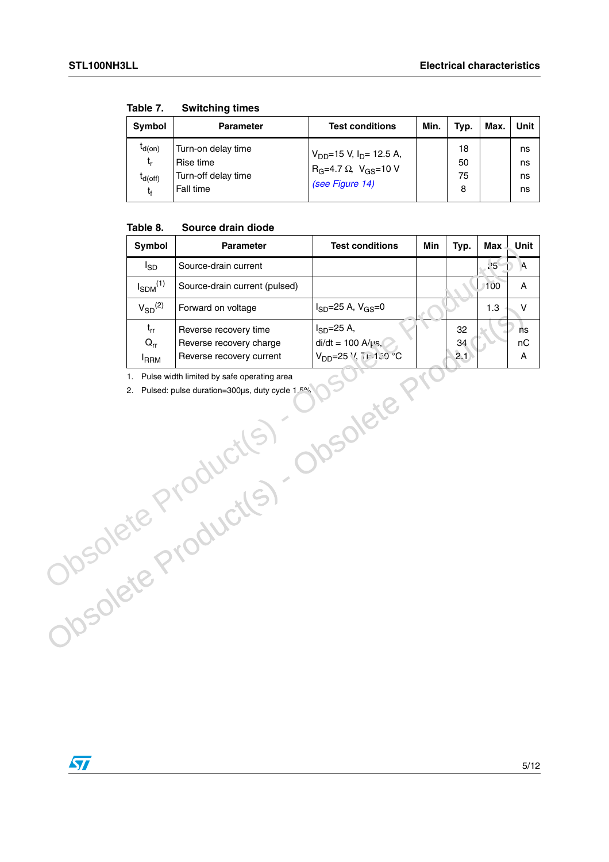| <b>Symbol</b>                           | <b>Parameter</b>                                                    | <b>Test conditions</b>                                                                              | Min. | Typ.                | Max. | Unit                 |
|-----------------------------------------|---------------------------------------------------------------------|-----------------------------------------------------------------------------------------------------|------|---------------------|------|----------------------|
| $I_{d(on)}$<br>t,<br>$I_{d(off)}$<br>t, | Turn-on delay time<br>Rise time<br>Turn-off delay time<br>Fall time | $V_{DD}$ =15 V, I <sub>D</sub> = 12.5 A,<br>$R_G = 4.7 \Omega$ , $V_{GS} = 10 V$<br>(see Figure 14) |      | 18<br>50<br>75<br>8 |      | ns<br>ns<br>ns<br>ns |

<span id="page-4-0"></span>**Table 7. Switching times**

#### **Table 8. Source drain diode**

| Symbol<br>Parameter                 |                                                                                                | <b>Test conditions</b>                                                              | Min | Typ.            | <b>Max</b> | Unit          |
|-------------------------------------|------------------------------------------------------------------------------------------------|-------------------------------------------------------------------------------------|-----|-----------------|------------|---------------|
| $I_{SD}$                            | Source-drain current                                                                           |                                                                                     |     |                 | 25         | $\Lambda$     |
| $I_{SDM}$ <sup>(1)</sup>            | Source-drain current (pulsed)                                                                  |                                                                                     |     |                 | 100        | A             |
| $V_{SD}$ <sup>(2)</sup>             | Forward on voltage                                                                             | $I_{SD} = 25 A, V_{GS} = 0$                                                         |     |                 | 1.3        | $\mathsf{V}$  |
| $t_{rr}$<br>$Q_{rr}$<br><b>IRRM</b> | Reverse recovery time<br>Reverse recovery charge<br>Reverse recovery current                   | $I_{SD} = 25 A$ ,<br>di/dt = 100 A/ $\mu$ s,<br>V <sub>DD</sub> =25 \/, 7  = 130 °C |     | 32<br>34<br>2.1 |            | ńs<br>nC<br>A |
| 1.                                  | Pulse width limited by safe operating area<br>2. Pulsed: pulse duration=300µs, duty cycle 1.5% |                                                                                     |     |                 |            |               |
|                                     | Josolete Production                                                                            |                                                                                     |     |                 |            |               |

 $\sqrt{2}$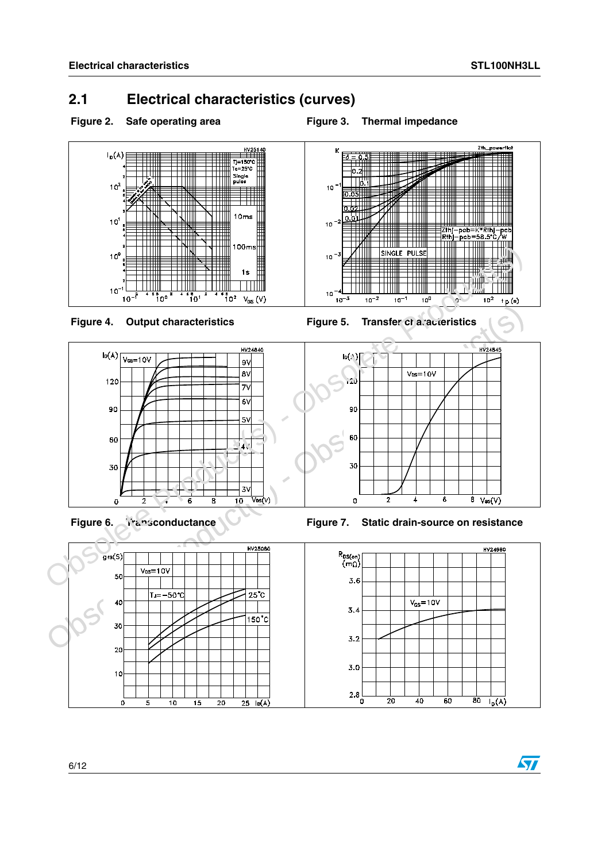### <span id="page-5-0"></span>**2.1 Electrical characteristics (curves)**

<span id="page-5-1"></span>

<span id="page-5-2"></span>

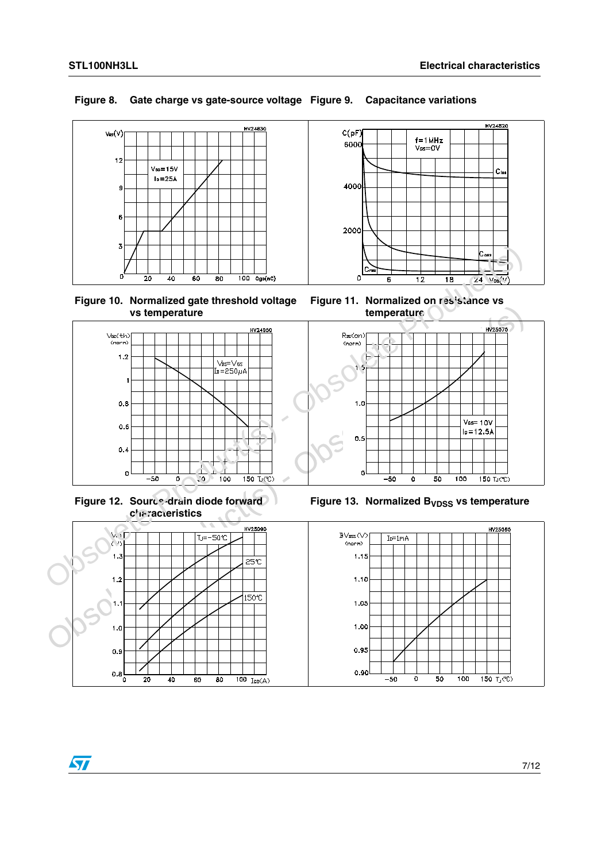# HV24830  $V_{GS}(V)$  $12$  $V_{DD} = 15V$  $I<sub>D</sub>=25A$ Ķ  $\epsilon$

# **Figure 10. Normalized gate threshold voltage**



<span id="page-6-0"></span>**Figure 8. Gate charge vs gate-source voltage Figure 9. Capacitance variations**



**Figure 11. Normalized on resistance vs temperature**



**Figure 12. Source-drain diode forward characteristics**



 $\overline{100}$   $\overline{I_{SD}(A)}$ 





 $0.8<sub>0</sub>$ 

 $\overline{20}$ 

 $40$ 

 $60$ 

 $80$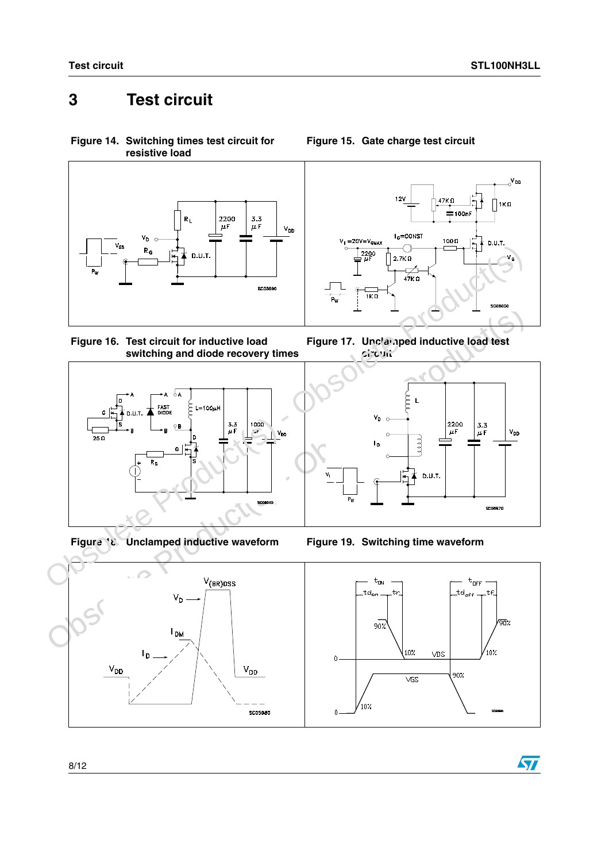## <span id="page-7-0"></span>**3 Test circuit**

<span id="page-7-1"></span>**Figure 14. Switching times test circuit for resistive load**













**Figure 15. Gate charge test circuit**







 $\sqrt{2}$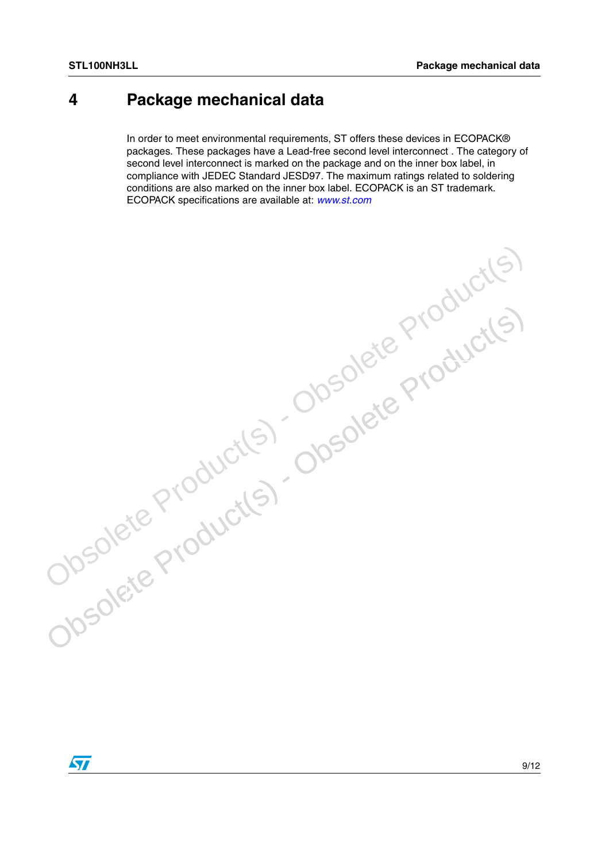### <span id="page-8-0"></span>**4 Package mechanical data**

In order to meet environmental requirements, ST offers these devices in ECOPACK® packages. These packages have a Lead-free second level interconnect . The category of second level interconnect is marked on the package and on the inner box label, in compliance with JEDEC Standard JESD97. The maximum ratings related to soldering conditions are also marked on the inner box label. ECOPACK is an ST trademark. ECOPACK specifications are available at: *[www.st.com](http://www.st.com)*

Obsolete Product(s) - Obsolete Product(s)<br>Obsolete Product(s) - Obsolete Product(s)<br>Obsolete Product(s) -

Obsolete Product(s) - Obsolete Product(s)

 $\sqrt{2}$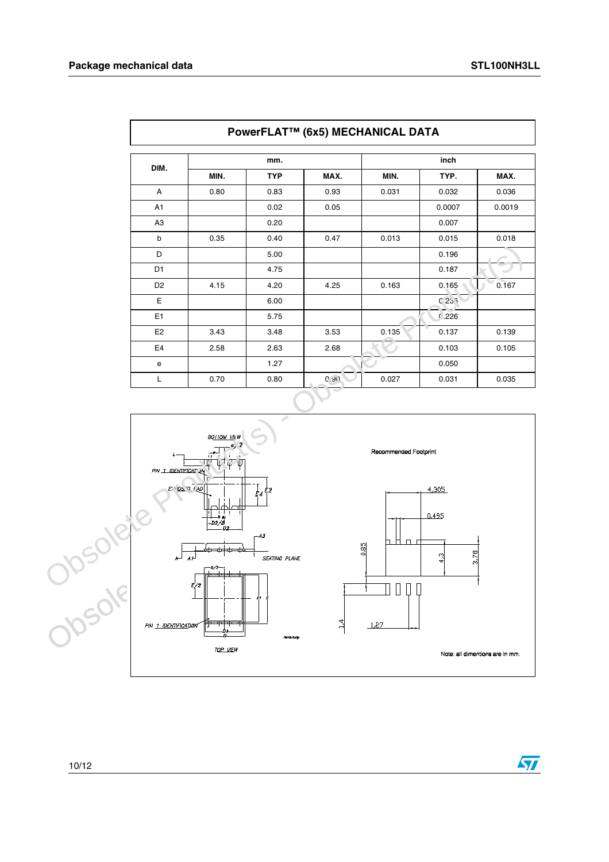| PowerFLAT™ (6x5) MECHANICAL DATA |      |            |       |       |        |        |  |
|----------------------------------|------|------------|-------|-------|--------|--------|--|
|                                  |      | mm.        |       |       | inch   |        |  |
| DIM.                             | MIN. | <b>TYP</b> | MAX.  | MIN.  | TYP.   | MAX.   |  |
| A                                | 0.80 | 0.83       | 0.93  | 0.031 | 0.032  | 0.036  |  |
| A1                               |      | 0.02       | 0.05  |       | 0.0007 | 0.0019 |  |
| A <sub>3</sub>                   |      | 0.20       |       |       | 0.007  |        |  |
| b                                | 0.35 | 0.40       | 0.47  | 0.013 | 0.015  | 0.018  |  |
| D                                |      | 5.00       |       |       | 0.196  |        |  |
| D <sub>1</sub>                   |      | 4.75       |       |       | 0.187  |        |  |
| D <sub>2</sub>                   | 4.15 | 4.20       | 4.25  | 0.163 | 0.165  | 0.167  |  |
| E                                |      | 6.00       |       |       | 0233   |        |  |
| E <sub>1</sub>                   |      | 5.75       |       |       | 0.226  |        |  |
| E <sub>2</sub>                   | 3.43 | 3.48       | 3.53  | 0.135 | 0.137  | 0.139  |  |
| E <sub>4</sub>                   | 2.58 | 2.63       | 2.68  |       | 0.103  | 0.105  |  |
| e                                |      | 1.27       |       |       | 0.050  |        |  |
| L                                | 0.70 | 0.80       | (2.9) | 0.027 | 0.031  | 0.035  |  |



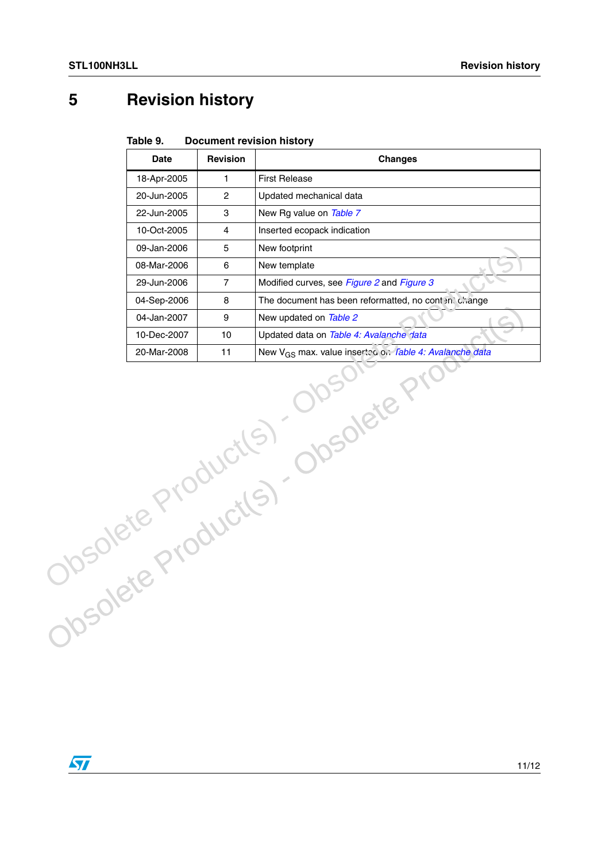## <span id="page-10-0"></span>**5 Revision history**

| Table 9. | <b>Document revision history</b> |  |
|----------|----------------------------------|--|
|----------|----------------------------------|--|

|                                          | <b>Date</b> | Revision       | <b>Changes</b>                                                            |  |  |
|------------------------------------------|-------------|----------------|---------------------------------------------------------------------------|--|--|
|                                          | 18-Apr-2005 | $\mathbf{1}$   | <b>First Release</b>                                                      |  |  |
|                                          | 20-Jun-2005 | $\overline{c}$ | Updated mechanical data                                                   |  |  |
|                                          | 22-Jun-2005 | 3              | New Rg value on Table 7                                                   |  |  |
|                                          | 10-Oct-2005 | $\overline{4}$ | Inserted ecopack indication                                               |  |  |
|                                          | 09-Jan-2006 | 5              | New footprint                                                             |  |  |
|                                          | 08-Mar-2006 | 6              | New template                                                              |  |  |
|                                          | 29-Jun-2006 | $\overline{7}$ | Modified curves, see Figure 2 and Figure 3                                |  |  |
|                                          | 04-Sep-2006 | 8              | The document has been reformatted, no content change                      |  |  |
|                                          | 04-Jan-2007 | 9              | New updated on Table 2                                                    |  |  |
|                                          | 10-Dec-2007 | 10             | Updated data on Table 4: Avalanche data                                   |  |  |
|                                          | 20-Mar-2008 | 11             | New V <sub>GS</sub> max. value inserted on <i>Table 4: Avalanche data</i> |  |  |
| <b>Incolete</b><br>Josolete Productis) C |             |                |                                                                           |  |  |